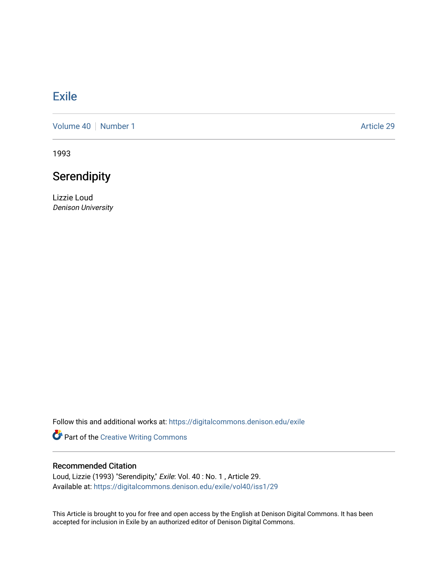## **[Exile](https://digitalcommons.denison.edu/exile)**

[Volume 40](https://digitalcommons.denison.edu/exile/vol40) | [Number 1](https://digitalcommons.denison.edu/exile/vol40/iss1) Article 29

1993

## **Serendipity**

Lizzie Loud Denison University

Follow this and additional works at: [https://digitalcommons.denison.edu/exile](https://digitalcommons.denison.edu/exile?utm_source=digitalcommons.denison.edu%2Fexile%2Fvol40%2Fiss1%2F29&utm_medium=PDF&utm_campaign=PDFCoverPages) 

Part of the [Creative Writing Commons](http://network.bepress.com/hgg/discipline/574?utm_source=digitalcommons.denison.edu%2Fexile%2Fvol40%2Fiss1%2F29&utm_medium=PDF&utm_campaign=PDFCoverPages) 

## Recommended Citation

Loud, Lizzie (1993) "Serendipity," Exile: Vol. 40 : No. 1 , Article 29. Available at: [https://digitalcommons.denison.edu/exile/vol40/iss1/29](https://digitalcommons.denison.edu/exile/vol40/iss1/29?utm_source=digitalcommons.denison.edu%2Fexile%2Fvol40%2Fiss1%2F29&utm_medium=PDF&utm_campaign=PDFCoverPages)

This Article is brought to you for free and open access by the English at Denison Digital Commons. It has been accepted for inclusion in Exile by an authorized editor of Denison Digital Commons.